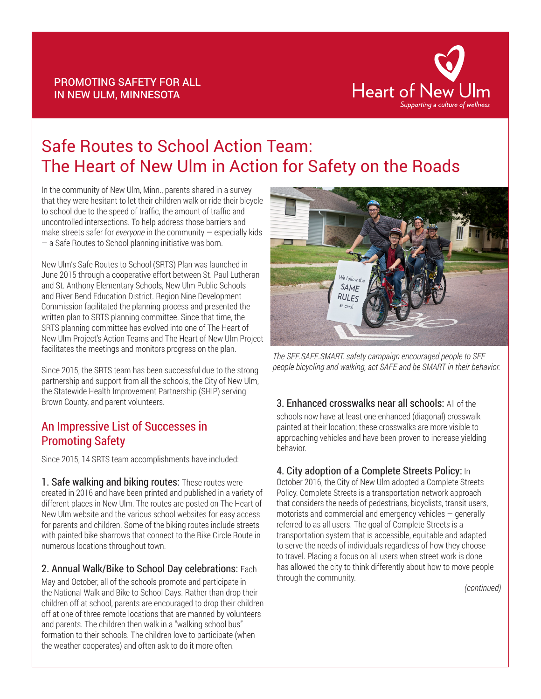

# Safe Routes to School Action Team: The Heart of New Ulm in Action for Safety on the Roads

In the community of New Ulm, Minn., parents shared in a survey that they were hesitant to let their children walk or ride their bicycle to school due to the speed of traffic, the amount of traffic and uncontrolled intersections. To help address those barriers and make streets safer for *everyone* in the community — especially kids — a Safe Routes to School planning initiative was born.

PROMOTING SAFETY FOR ALL IN NEW ULM, MINNESOTA

New Ulm's Safe Routes to School (SRTS) Plan was launched in June 2015 through a cooperative effort between St. Paul Lutheran and St. Anthony Elementary Schools, New Ulm Public Schools and River Bend Education District. Region Nine Development Commission facilitated the planning process and presented the written plan to SRTS planning committee. Since that time, the SRTS planning committee has evolved into one of The Heart of New Ulm Project's Action Teams and The Heart of New Ulm Project facilitates the meetings and monitors progress on the plan.

Since 2015, the SRTS team has been successful due to the strong partnership and support from all the schools, the City of New Ulm, the Statewide Health Improvement Partnership (SHIP) serving Brown County, and parent volunteers.

## An Impressive List of Successes in Promoting Safety

Since 2015, 14 SRTS team accomplishments have included:

1. Safe walking and biking routes: These routes were created in 2016 and have been printed and published in a variety of different places in New Ulm. The routes are posted on The Heart of New Ulm website and the various school websites for easy access for parents and children. Some of the biking routes include streets with painted bike sharrows that connect to the Bike Circle Route in numerous locations throughout town.

#### 2. Annual Walk/Bike to School Day celebrations: Each

May and October, all of the schools promote and participate in the National Walk and Bike to School Days. Rather than drop their children off at school, parents are encouraged to drop their children off at one of three remote locations that are manned by volunteers and parents. The children then walk in a "walking school bus" formation to their schools. The children love to participate (when the weather cooperates) and often ask to do it more often.



*The SEE.SAFE.SMART. safety campaign encouraged people to SEE people bicycling and walking, act SAFE and be SMART in their behavior.*

### 3. Enhanced crosswalks near all schools: All of the

schools now have at least one enhanced (diagonal) crosswalk painted at their location; these crosswalks are more visible to approaching vehicles and have been proven to increase yielding behavior.

### 4. City adoption of a Complete Streets Policy: In

October 2016, the City of New Ulm adopted a Complete Streets Policy. Complete Streets is a transportation network approach that considers the needs of pedestrians, bicyclists, transit users, motorists and commercial and emergency vehicles — generally referred to as all users. The goal of Complete Streets is a transportation system that is accessible, equitable and adapted to serve the needs of individuals regardless of how they choose to travel. Placing a focus on all users when street work is done has allowed the city to think differently about how to move people through the community.

*(continued)*